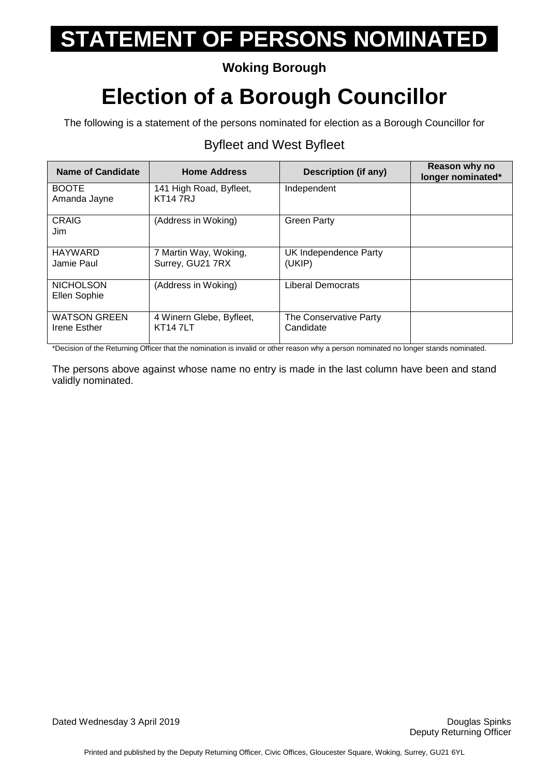## **Woking Borough**

## **Election of a Borough Councillor**

The following is a statement of the persons nominated for election as a Borough Councillor for

### Byfleet and West Byfleet

| <b>Name of Candidate</b>            | <b>Home Address</b>                        | <b>Description (if any)</b>         | Reason why no<br>longer nominated* |
|-------------------------------------|--------------------------------------------|-------------------------------------|------------------------------------|
| <b>BOOTE</b><br>Amanda Jayne        | 141 High Road, Byfleet,<br>KT14 7RJ        | Independent                         |                                    |
| CRAIG<br>Jim                        | (Address in Woking)                        | <b>Green Party</b>                  |                                    |
| <b>HAYWARD</b><br>Jamie Paul        | 7 Martin Way, Woking,<br>Surrey, GU21 7RX  | UK Independence Party<br>(UKIP)     |                                    |
| <b>NICHOLSON</b><br>Ellen Sophie    | (Address in Woking)                        | <b>Liberal Democrats</b>            |                                    |
| <b>WATSON GREEN</b><br>Irene Esther | 4 Winern Glebe, Byfleet,<br><b>KT147LT</b> | The Conservative Party<br>Candidate |                                    |

\*Decision of the Returning Officer that the nomination is invalid or other reason why a person nominated no longer stands nominated.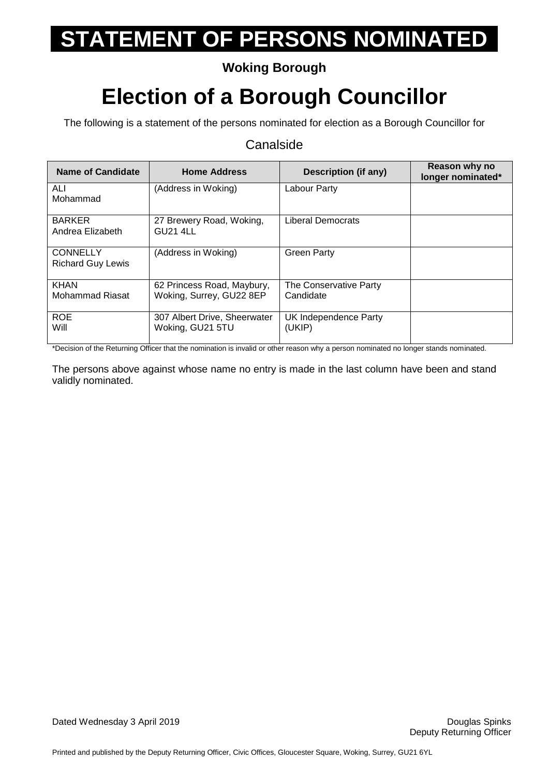## **Woking Borough**

## **Election of a Borough Councillor**

The following is a statement of the persons nominated for election as a Borough Councillor for

#### Canalside

| <b>Name of Candidate</b>                    | <b>Home Address</b>                                    | Description (if any)                | Reason why no<br>longer nominated* |
|---------------------------------------------|--------------------------------------------------------|-------------------------------------|------------------------------------|
| <b>ALI</b><br>Mohammad                      | (Address in Woking)                                    | Labour Party                        |                                    |
| <b>BARKER</b><br>Andrea Elizabeth           | 27 Brewery Road, Woking,<br><b>GU21 4LL</b>            | Liberal Democrats                   |                                    |
| <b>CONNELLY</b><br><b>Richard Guy Lewis</b> | (Address in Woking)                                    | <b>Green Party</b>                  |                                    |
| <b>KHAN</b><br>Mohammad Riasat              | 62 Princess Road, Maybury,<br>Woking, Surrey, GU22 8EP | The Conservative Party<br>Candidate |                                    |
| <b>ROE</b><br>Will                          | 307 Albert Drive, Sheerwater<br>Woking, GU21 5TU       | UK Independence Party<br>(UKIP)     |                                    |

\*Decision of the Returning Officer that the nomination is invalid or other reason why a person nominated no longer stands nominated.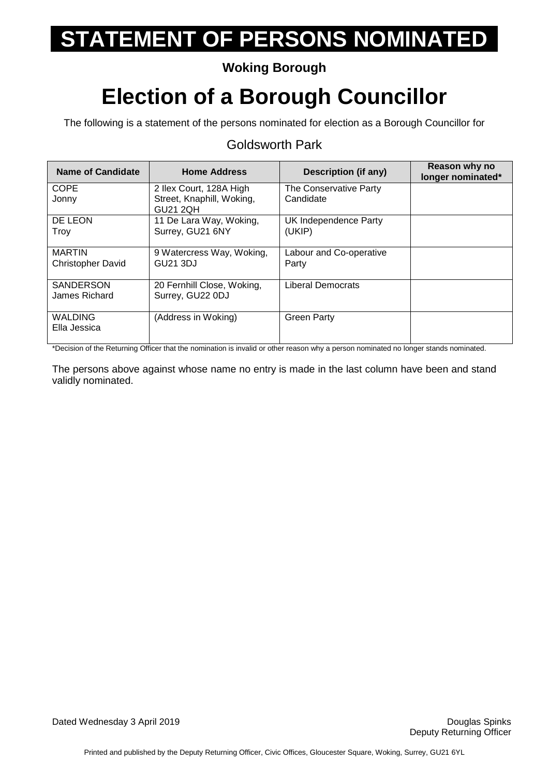## **Woking Borough**

## **Election of a Borough Councillor**

The following is a statement of the persons nominated for election as a Borough Councillor for

#### **Name of Candidate Home Address Description (if any) Reason why no Reason why no longer nominated\* COPE** Jonny 2 Ilex Court, 128A High Street, Knaphill, Woking, GU21 2QH The Conservative Party **Candidate** DE LEON **Troy** 11 De Lara Way, Woking, Surrey, GU21 6NY UK Independence Party (UKIP) MARTIN Christopher David 9 Watercress Way, Woking, GU21 3DJ Labour and Co-operative Party **SANDERSON** James Richard 20 Fernhill Close, Woking, Surrey, GU22 0DJ Liberal Democrats WALDING Ella Jessica (Address in Woking) | Green Party

## Goldsworth Park

\*Decision of the Returning Officer that the nomination is invalid or other reason why a person nominated no longer stands nominated.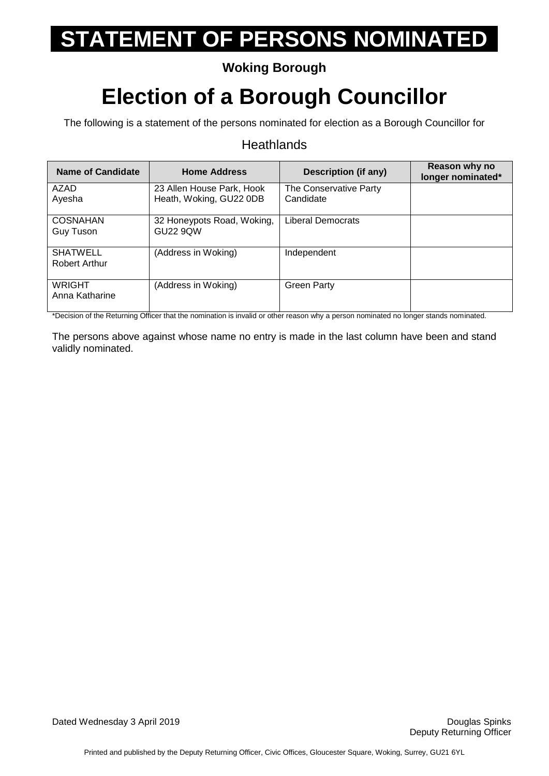## **Woking Borough**

## **Election of a Borough Councillor**

The following is a statement of the persons nominated for election as a Borough Councillor for

#### **Heathlands**

| Name of Candidate                | <b>Home Address</b>                                  | Description (if any)                | Reason why no<br>longer nominated* |
|----------------------------------|------------------------------------------------------|-------------------------------------|------------------------------------|
| AZAD<br>Ayesha                   | 23 Allen House Park, Hook<br>Heath, Woking, GU22 0DB | The Conservative Party<br>Candidate |                                    |
| <b>COSNAHAN</b><br>Guy Tuson     | 32 Honeypots Road, Woking,<br><b>GU22 9QW</b>        | Liberal Democrats                   |                                    |
| <b>SHATWELL</b><br>Robert Arthur | (Address in Woking)                                  | Independent                         |                                    |
| <b>WRIGHT</b><br>Anna Katharine  | (Address in Woking)                                  | <b>Green Party</b>                  |                                    |

\*Decision of the Returning Officer that the nomination is invalid or other reason why a person nominated no longer stands nominated.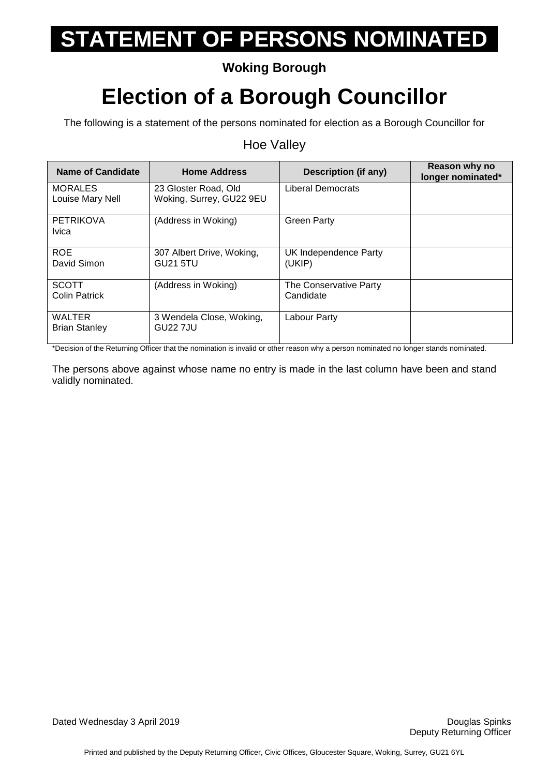## **Woking Borough**

## **Election of a Borough Councillor**

The following is a statement of the persons nominated for election as a Borough Councillor for

#### Hoe Valley

| <b>Name of Candidate</b>              | <b>Home Address</b>                              | Description (if any)                | Reason why no<br>longer nominated* |
|---------------------------------------|--------------------------------------------------|-------------------------------------|------------------------------------|
| <b>MORALES</b><br>Louise Mary Nell    | 23 Gloster Road, Old<br>Woking, Surrey, GU22 9EU | Liberal Democrats                   |                                    |
| <b>PETRIKOVA</b><br><b>Ivica</b>      | (Address in Woking)                              | <b>Green Party</b>                  |                                    |
| <b>ROE</b><br>David Simon             | 307 Albert Drive, Woking,<br>GU21 5TU            | UK Independence Party<br>(UKIP)     |                                    |
| <b>SCOTT</b><br><b>Colin Patrick</b>  | (Address in Woking)                              | The Conservative Party<br>Candidate |                                    |
| <b>WALTER</b><br><b>Brian Stanley</b> | 3 Wendela Close, Woking,<br><b>GU22 7JU</b>      | Labour Party                        |                                    |

\*Decision of the Returning Officer that the nomination is invalid or other reason why a person nominated no longer stands nominated.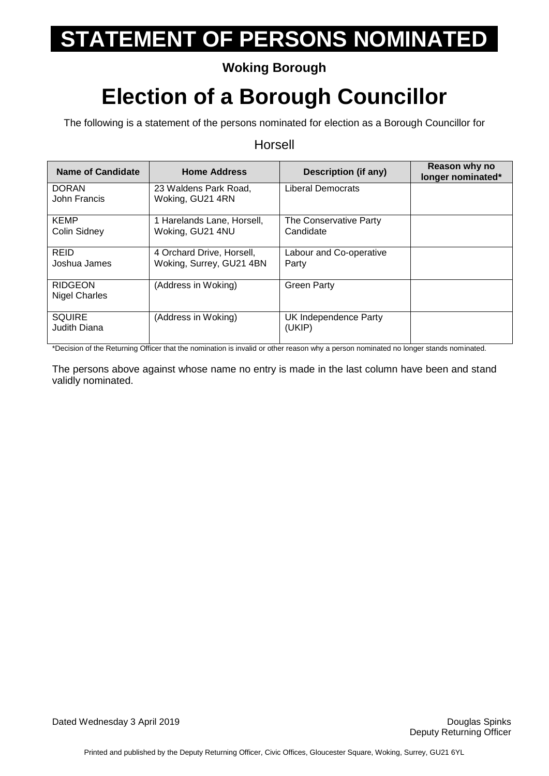## **Woking Borough**

## **Election of a Borough Councillor**

The following is a statement of the persons nominated for election as a Borough Councillor for

Horsell

#### **Name of Candidate Home Address Description (if any) Reason why no Reason why no longer nominated\* DORAN** John Francis 23 Waldens Park Road, Woking, GU21 4RN Liberal Democrats KEMP Colin Sidney 1 Harelands Lane, Horsell, Woking, GU21 4NU The Conservative Party **Candidate** REID Joshua James 4 Orchard Drive, Horsell, Woking, Surrey, GU21 4BN Labour and Co-operative Party RIDGEON Nigel Charles (Address in Woking) | Green Party **SQUIRE** Judith Diana (Address in Woking) UK Independence Party (UKIP)

\*Decision of the Returning Officer that the nomination is invalid or other reason why a person nominated no longer stands nominated.

The persons above against whose name no entry is made in the last column have been and stand validly nominated.

#### Dated Wednesday 3 April 2019 Douglas Spinks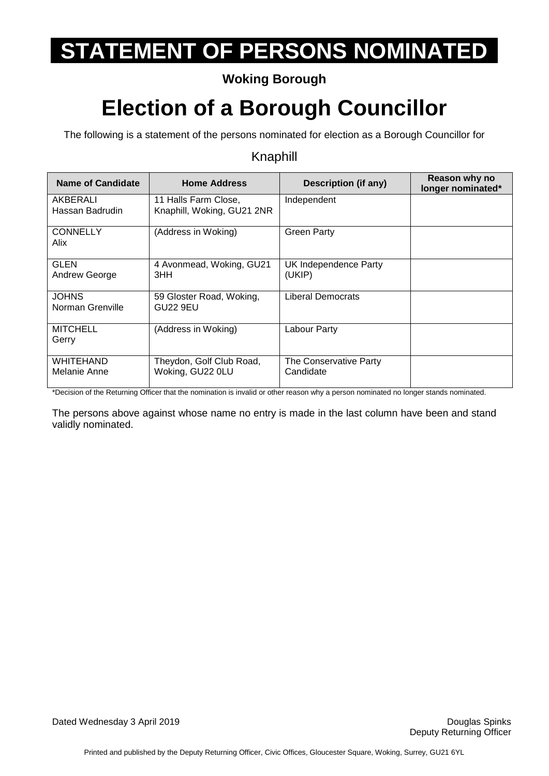## **Woking Borough**

## **Election of a Borough Councillor**

The following is a statement of the persons nominated for election as a Borough Councillor for

#### Knaphill

| Name of Candidate                | <b>Home Address</b>                                | <b>Description (if any)</b>         | Reason why no<br>longer nominated* |
|----------------------------------|----------------------------------------------------|-------------------------------------|------------------------------------|
| AKBERALI<br>Hassan Badrudin      | 11 Halls Farm Close,<br>Knaphill, Woking, GU21 2NR | Independent                         |                                    |
| <b>CONNELLY</b><br>Alix          | (Address in Woking)                                | <b>Green Party</b>                  |                                    |
| <b>GLEN</b><br>Andrew George     | 4 Avonmead, Woking, GU21<br>3HH                    | UK Independence Party<br>(UKIP)     |                                    |
| <b>JOHNS</b><br>Norman Grenville | 59 Gloster Road, Woking,<br>GU22 9EU               | <b>Liberal Democrats</b>            |                                    |
| <b>MITCHELL</b><br>Gerry         | (Address in Woking)                                | Labour Party                        |                                    |
| <b>WHITEHAND</b><br>Melanie Anne | Theydon, Golf Club Road,<br>Woking, GU22 0LU       | The Conservative Party<br>Candidate |                                    |

\*Decision of the Returning Officer that the nomination is invalid or other reason why a person nominated no longer stands nominated.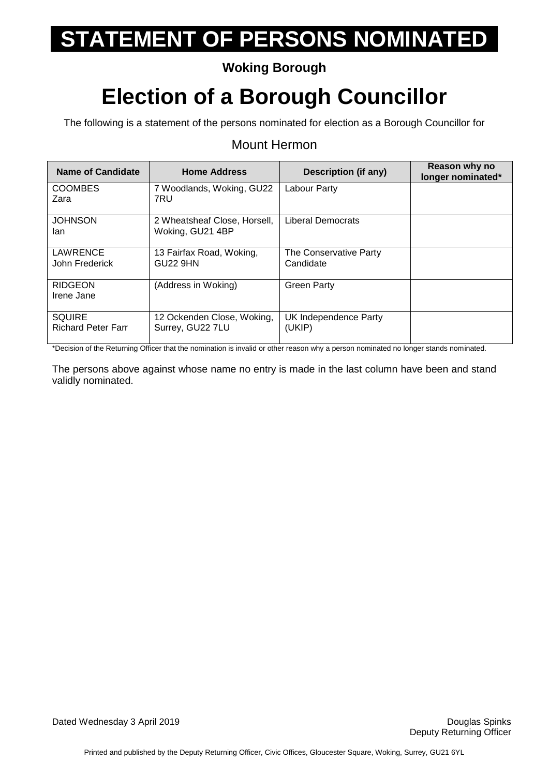## **Woking Borough**

## **Election of a Borough Councillor**

The following is a statement of the persons nominated for election as a Borough Councillor for

#### Mount Hermon

| <b>Name of Candidate</b>                   | <b>Home Address</b>                              | <b>Description (if any)</b>         | Reason why no<br>longer nominated* |
|--------------------------------------------|--------------------------------------------------|-------------------------------------|------------------------------------|
| <b>COOMBES</b><br>Zara                     | 7 Woodlands, Woking, GU22<br>7RU                 | Labour Party                        |                                    |
| <b>JOHNSON</b><br>lan                      | 2 Wheatsheaf Close, Horsell,<br>Woking, GU21 4BP | Liberal Democrats                   |                                    |
| <b>LAWRENCE</b><br>John Frederick          | 13 Fairfax Road, Woking,<br>GU22 9HN             | The Conservative Party<br>Candidate |                                    |
| <b>RIDGEON</b><br>Irene Jane               | (Address in Woking)                              | <b>Green Party</b>                  |                                    |
| <b>SQUIRE</b><br><b>Richard Peter Farr</b> | 12 Ockenden Close, Woking,<br>Surrey, GU22 7LU   | UK Independence Party<br>(UKIP)     |                                    |

\*Decision of the Returning Officer that the nomination is invalid or other reason why a person nominated no longer stands nominated.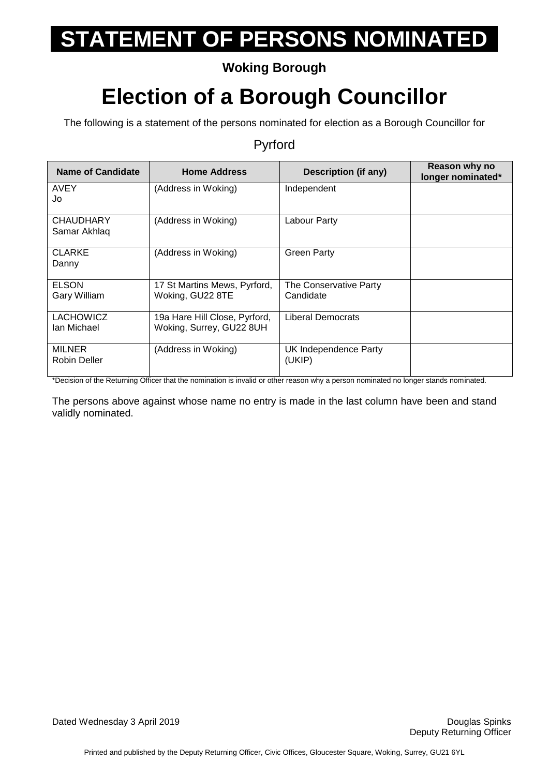## **Woking Borough**

## **Election of a Borough Councillor**

The following is a statement of the persons nominated for election as a Borough Councillor for

#### Pyrford

| <b>Name of Candidate</b>         | <b>Home Address</b>                                       | <b>Description (if any)</b>         | Reason why no<br>longer nominated* |
|----------------------------------|-----------------------------------------------------------|-------------------------------------|------------------------------------|
| <b>AVEY</b><br>Jo                | (Address in Woking)                                       | Independent                         |                                    |
| <b>CHAUDHARY</b><br>Samar Akhlaq | (Address in Woking)                                       | Labour Party                        |                                    |
| <b>CLARKE</b><br>Danny           | (Address in Woking)                                       | <b>Green Party</b>                  |                                    |
| <b>ELSON</b><br>Gary William     | 17 St Martins Mews, Pyrford,<br>Woking, GU22 8TE          | The Conservative Party<br>Candidate |                                    |
| <b>LACHOWICZ</b><br>Ian Michael  | 19a Hare Hill Close, Pyrford,<br>Woking, Surrey, GU22 8UH | Liberal Democrats                   |                                    |
| <b>MILNER</b><br>Robin Deller    | (Address in Woking)                                       | UK Independence Party<br>(UKIP)     |                                    |

\*Decision of the Returning Officer that the nomination is invalid or other reason why a person nominated no longer stands nominated.